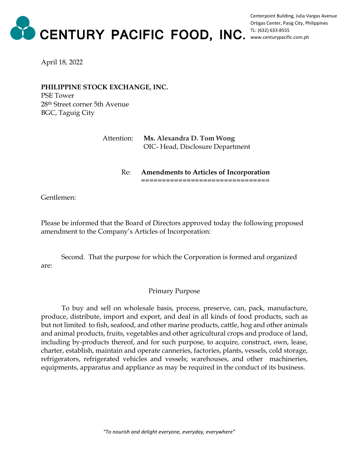

Centerpoint Building, Julia Vargas Avenue Ortigas Center, Pasig City, Philippines TL: (632) 633-8555 www.centurypacific.com.ph

April 18, 2022

**PHILIPPINE STOCK EXCHANGE, INC.** PSE Tower 28th Street corner 5th Avenue BGC, Taguig City

## Attention: **Ms. Alexandra D. Tom Wong** OIC- Head, Disclosure Department

## Re: **Amendments to Articles of Incorporation**

===================================

Gentlemen:

Please be informed that the Board of Directors approved today the following proposed amendment to the Company's Articles of Incorporation:

Second. That the purpose for which the Corporation is formed and organized are:

## Primary Purpose

To buy and sell on wholesale basis, process, preserve, can, pack, manufacture, produce, distribute, import and export, and deal in all kinds of food products, such as but not limited to fish, seafood, and other marine products, cattle, hog and other animals and animal products, fruits, vegetables and other agricultural crops and produce of land, including by-products thereof, and for such purpose, to acquire, construct, own, lease, charter, establish, maintain and operate canneries, factories, plants, vessels, cold storage, refrigerators, refrigerated vehicles and vessels; warehouses, and other machineries, equipments, apparatus and appliance as may be required in the conduct of its business.